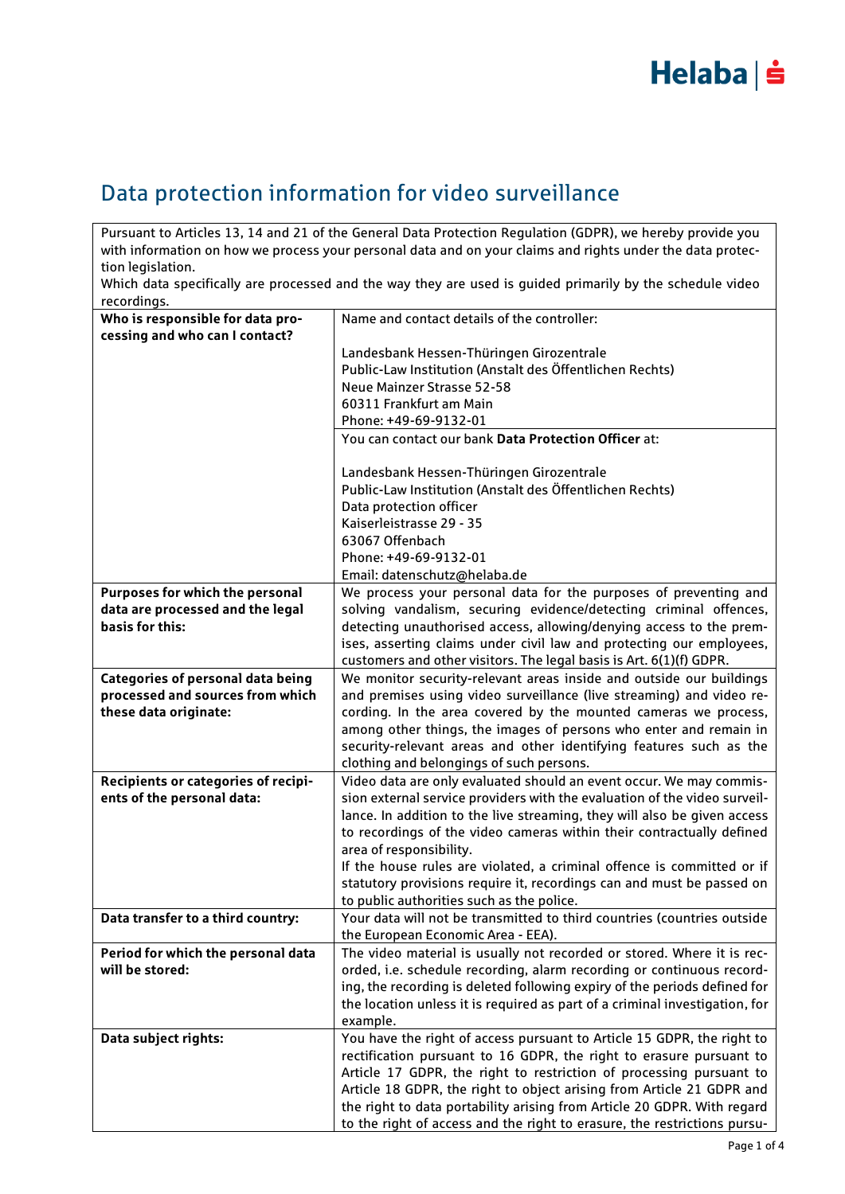

### Data protection information for video surveillance

Pursuant to Articles 13, 14 and 21 of the General Data Protection Regulation (GDPR), we hereby provide you with information on how we process your personal data and on your claims and rights under the data protection legislation.

Which data specifically are processed and the way they are used is guided primarily by the schedule video recordings.

| recorumys.                                            |                                                                                                                                                 |
|-------------------------------------------------------|-------------------------------------------------------------------------------------------------------------------------------------------------|
| Who is responsible for data pro-                      | Name and contact details of the controller:                                                                                                     |
| cessing and who can I contact?                        |                                                                                                                                                 |
|                                                       | Landesbank Hessen-Thüringen Girozentrale                                                                                                        |
|                                                       | Public-Law Institution (Anstalt des Öffentlichen Rechts)                                                                                        |
|                                                       | Neue Mainzer Strasse 52-58                                                                                                                      |
|                                                       | 60311 Frankfurt am Main                                                                                                                         |
|                                                       | Phone: +49-69-9132-01                                                                                                                           |
|                                                       | You can contact our bank Data Protection Officer at:                                                                                            |
|                                                       | Landesbank Hessen-Thüringen Girozentrale                                                                                                        |
|                                                       | Public-Law Institution (Anstalt des Öffentlichen Rechts)                                                                                        |
|                                                       | Data protection officer                                                                                                                         |
|                                                       | Kaiserleistrasse 29 - 35                                                                                                                        |
|                                                       | 63067 Offenbach                                                                                                                                 |
|                                                       | Phone: +49-69-9132-01                                                                                                                           |
|                                                       | Email: datenschutz@helaba.de                                                                                                                    |
| Purposes for which the personal                       | We process your personal data for the purposes of preventing and                                                                                |
| data are processed and the legal                      | solving vandalism, securing evidence/detecting criminal offences,                                                                               |
| basis for this:                                       | detecting unauthorised access, allowing/denying access to the prem-                                                                             |
|                                                       | ises, asserting claims under civil law and protecting our employees,                                                                            |
|                                                       |                                                                                                                                                 |
| <b>Categories of personal data being</b>              | customers and other visitors. The legal basis is Art. 6(1)(f) GDPR.<br>We monitor security-relevant areas inside and outside our buildings      |
| processed and sources from which                      | and premises using video surveillance (live streaming) and video re-                                                                            |
| these data originate:                                 | cording. In the area covered by the mounted cameras we process,                                                                                 |
|                                                       |                                                                                                                                                 |
|                                                       | among other things, the images of persons who enter and remain in                                                                               |
|                                                       | security-relevant areas and other identifying features such as the                                                                              |
|                                                       | clothing and belongings of such persons.                                                                                                        |
| Recipients or categories of recipi-                   | Video data are only evaluated should an event occur. We may commis-                                                                             |
| ents of the personal data:                            | sion external service providers with the evaluation of the video surveil-                                                                       |
|                                                       | lance. In addition to the live streaming, they will also be given access                                                                        |
|                                                       | to recordings of the video cameras within their contractually defined                                                                           |
|                                                       | area of responsibility.<br>If the house rules are violated, a criminal offence is committed or if                                               |
|                                                       |                                                                                                                                                 |
|                                                       | statutory provisions require it, recordings can and must be passed on                                                                           |
|                                                       | to public authorities such as the police.<br>Your data will not be transmitted to third countries (countries outside                            |
| Data transfer to a third country:                     |                                                                                                                                                 |
|                                                       | the European Economic Area - EEA).                                                                                                              |
| Period for which the personal data<br>will be stored: | The video material is usually not recorded or stored. Where it is rec-<br>orded, i.e. schedule recording, alarm recording or continuous record- |
|                                                       |                                                                                                                                                 |
|                                                       | ing, the recording is deleted following expiry of the periods defined for                                                                       |
|                                                       | the location unless it is required as part of a criminal investigation, for                                                                     |
|                                                       | example.                                                                                                                                        |
| Data subject rights:                                  | You have the right of access pursuant to Article 15 GDPR, the right to                                                                          |
|                                                       | rectification pursuant to 16 GDPR, the right to erasure pursuant to                                                                             |
|                                                       | Article 17 GDPR, the right to restriction of processing pursuant to                                                                             |
|                                                       | Article 18 GDPR, the right to object arising from Article 21 GDPR and                                                                           |
|                                                       | the right to data portability arising from Article 20 GDPR. With regard                                                                         |
|                                                       | to the right of access and the right to erasure, the restrictions pursu-                                                                        |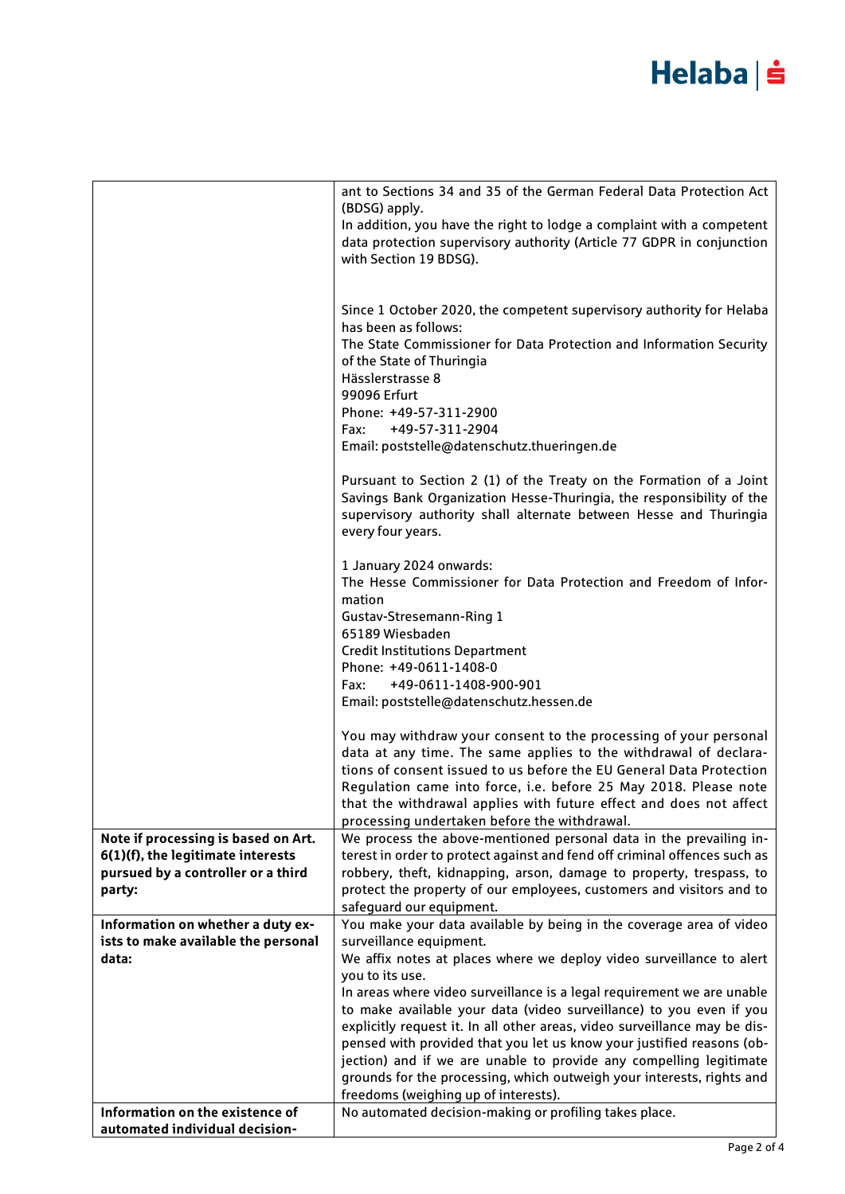# Helaba | s

|                                                                          | ant to Sections 34 and 35 of the German Federal Data Protection Act<br>(BDSG) apply.                                                                                                                                                  |
|--------------------------------------------------------------------------|---------------------------------------------------------------------------------------------------------------------------------------------------------------------------------------------------------------------------------------|
|                                                                          | In addition, you have the right to lodge a complaint with a competent<br>data protection supervisory authority (Article 77 GDPR in conjunction<br>with Section 19 BDSG).                                                              |
|                                                                          | Since 1 October 2020, the competent supervisory authority for Helaba<br>has been as follows:                                                                                                                                          |
|                                                                          | The State Commissioner for Data Protection and Information Security<br>of the State of Thuringia<br>Hässlerstrasse 8                                                                                                                  |
|                                                                          | 99096 Erfurt<br>Phone: +49-57-311-2900                                                                                                                                                                                                |
|                                                                          | +49-57-311-2904<br>Fax:                                                                                                                                                                                                               |
|                                                                          | Email: poststelle@datenschutz.thueringen.de                                                                                                                                                                                           |
|                                                                          | Pursuant to Section 2 (1) of the Treaty on the Formation of a Joint<br>Savings Bank Organization Hesse-Thuringia, the responsibility of the<br>supervisory authority shall alternate between Hesse and Thuringia<br>every four years. |
|                                                                          | 1 January 2024 onwards:<br>The Hesse Commissioner for Data Protection and Freedom of Infor-                                                                                                                                           |
|                                                                          | mation<br><b>Gustav-Stresemann-Ring 1</b>                                                                                                                                                                                             |
|                                                                          | 65189 Wiesbaden<br><b>Credit Institutions Department</b>                                                                                                                                                                              |
|                                                                          | Phone: +49-0611-1408-0                                                                                                                                                                                                                |
|                                                                          | +49-0611-1408-900-901<br>Fax:                                                                                                                                                                                                         |
|                                                                          | Email: poststelle@datenschutz.hessen.de                                                                                                                                                                                               |
|                                                                          | You may withdraw your consent to the processing of your personal<br>data at any time. The same applies to the withdrawal of declara-                                                                                                  |
|                                                                          | tions of consent issued to us before the EU General Data Protection                                                                                                                                                                   |
|                                                                          | Regulation came into force, i.e. before 25 May 2018. Please note<br>that the withdrawal applies with future effect and does not affect<br>processing undertaken before the withdrawal.                                                |
| Note if processing is based on Art.                                      | We process the above-mentioned personal data in the prevailing in-                                                                                                                                                                    |
| 6(1)(f), the legitimate interests                                        | terest in order to protect against and fend off criminal offences such as                                                                                                                                                             |
| pursued by a controller or a third<br>party:                             | robbery, theft, kidnapping, arson, damage to property, trespass, to<br>protect the property of our employees, customers and visitors and to                                                                                           |
|                                                                          | safeguard our equipment.                                                                                                                                                                                                              |
| Information on whether a duty ex-<br>ists to make available the personal | You make your data available by being in the coverage area of video<br>surveillance equipment.                                                                                                                                        |
| data:                                                                    | We affix notes at places where we deploy video surveillance to alert                                                                                                                                                                  |
|                                                                          | you to its use.<br>In areas where video surveillance is a legal requirement we are unable                                                                                                                                             |
|                                                                          | to make available your data (video surveillance) to you even if you                                                                                                                                                                   |
|                                                                          | explicitly request it. In all other areas, video surveillance may be dis-<br>pensed with provided that you let us know your justified reasons (ob-                                                                                    |
|                                                                          | jection) and if we are unable to provide any compelling legitimate                                                                                                                                                                    |
|                                                                          | grounds for the processing, which outweigh your interests, rights and<br>freedoms (weighing up of interests).                                                                                                                         |
| Information on the existence of                                          | No automated decision-making or profiling takes place.                                                                                                                                                                                |
| automated individual decision-                                           |                                                                                                                                                                                                                                       |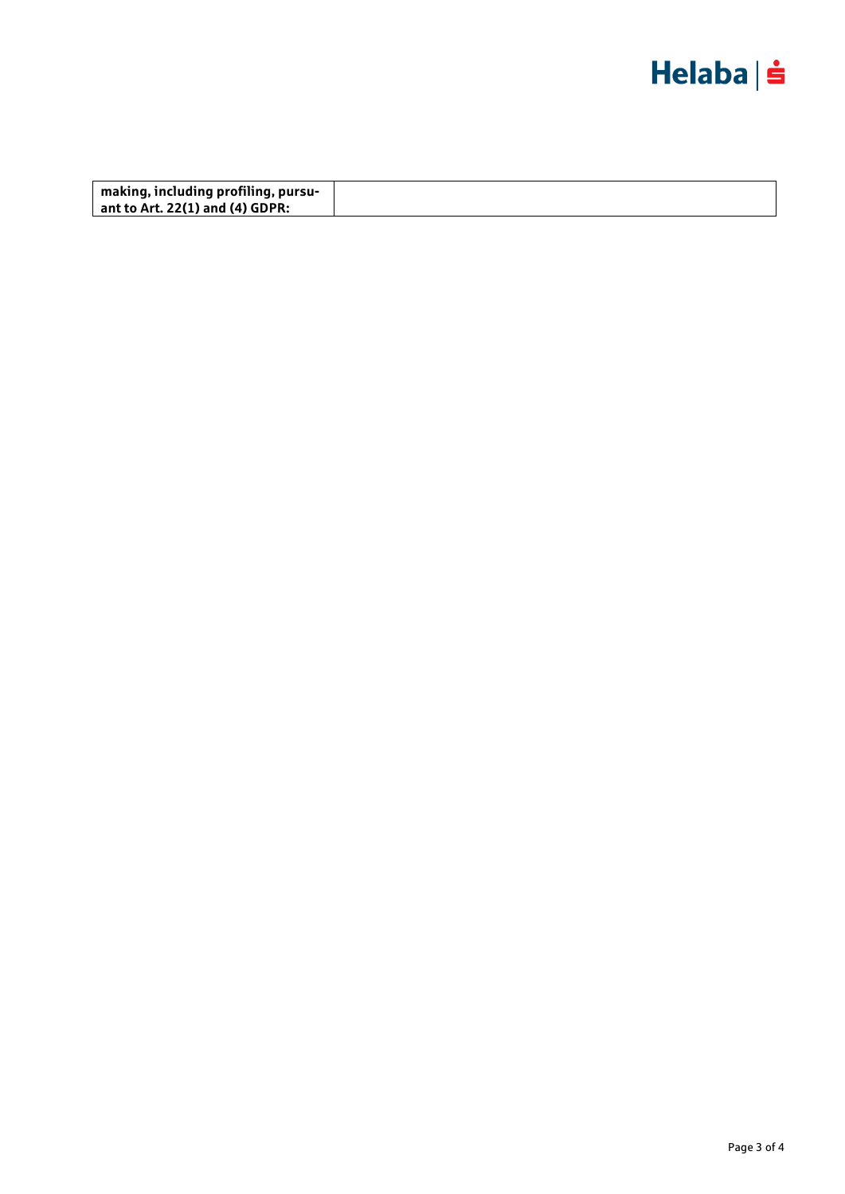

| making, including profiling, pursu- |  |
|-------------------------------------|--|
| ant to Art. 22(1) and (4) GDPR:     |  |